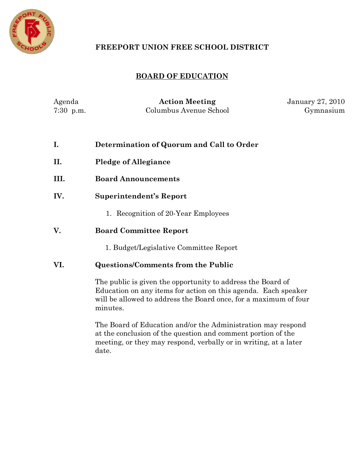

# **FREEPORT UNION FREE SCHOOL DISTRICT**

# **BOARD OF EDUCATION**

| Agenda      | <b>Action Meeting</b>  | <b>January 27, 2010</b> |
|-------------|------------------------|-------------------------|
| $7:30$ p.m. | Columbus Avenue School | Gymnasium               |

| I.   | Determination of Quorum and Call to Order                                                                                                                                                                     |  |
|------|---------------------------------------------------------------------------------------------------------------------------------------------------------------------------------------------------------------|--|
| П.   | <b>Pledge of Allegiance</b>                                                                                                                                                                                   |  |
| III. | <b>Board Announcements</b>                                                                                                                                                                                    |  |
| IV.  | Superintendent's Report                                                                                                                                                                                       |  |
|      | 1. Recognition of 20-Year Employees                                                                                                                                                                           |  |
| V.   | <b>Board Committee Report</b>                                                                                                                                                                                 |  |
|      | 1. Budget/Legislative Committee Report                                                                                                                                                                        |  |
| VI.  | <b>Questions/Comments from the Public</b>                                                                                                                                                                     |  |
|      | The public is given the opportunity to address the Board of<br>Education on any items for action on this agenda. Each speaker<br>will be allowed to address the Board once, for a maximum of four<br>minutes. |  |

The Board of Education and/or the Administration may respond at the conclusion of the question and comment portion of the meeting, or they may respond, verbally or in writing, at a later date.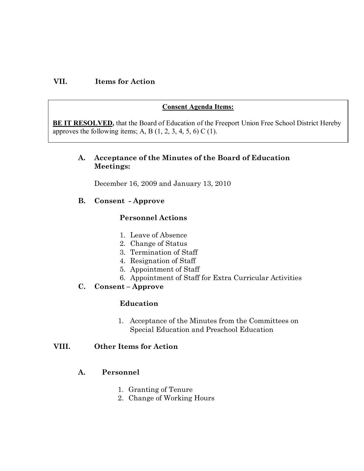## **VII. Items for Action**

#### **Consent Agenda Items:**

**BE IT RESOLVED,** that the Board of Education of the Freeport Union Free School District Hereby approves the following items; A, B  $(1, 2, 3, 4, 5, 6)$  C  $(1)$ .

#### **A. Acceptance of the Minutes of the Board of Education Meetings:**

December 16, 2009 and January 13, 2010

#### **B. Consent Approve**

#### **Personnel Actions**

- 1. Leave of Absence
- 2. Change of Status
- 3. Termination of Staff
- 4. Resignation of Staff
- 5. Appointment of Staff
- 6. Appointment of Staff for Extra Curricular Activities

## **C. Consent – Approve**

#### **Education**

1. Acceptance of the Minutes from the Committees on Special Education and Preschool Education

#### **VIII. Other Items for Action**

#### **A. Personnel**

- 1. Granting of Tenure
- 2. Change of Working Hours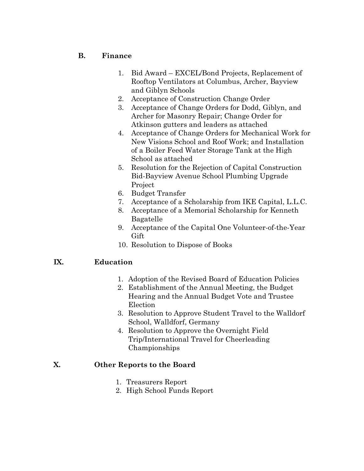## **B. Finance**

- 1. Bid Award EXCEL/Bond Projects, Replacement of Rooftop Ventilators at Columbus, Archer, Bayview and Giblyn Schools
- 2. Acceptance of Construction Change Order
- 3. Acceptance of Change Orders for Dodd, Giblyn, and Archer for Masonry Repair; Change Order for Atkinson gutters and leaders as attached
- 4. Acceptance of Change Orders for Mechanical Work for New Visions School and Roof Work; and Installation of a Boiler Feed Water Storage Tank at the High School as attached
- 5. Resolution for the Rejection of Capital Construction Bid-Bayview Avenue School Plumbing Upgrade Project
- 6. Budget Transfer
- 7. Acceptance of a Scholarship from IKE Capital, L.L.C.
- 8. Acceptance of a Memorial Scholarship for Kenneth Bagatelle
- 9. Acceptance of the Capital One Volunteer-of-the-Year Gift
- 10. Resolution to Dispose of Books

## **IX. Education**

- 1. Adoption of the Revised Board of Education Policies
- 2. Establishment of the Annual Meeting, the Budget Hearing and the Annual Budget Vote and Trustee Election
- 3. Resolution to Approve Student Travel to the Walldorf School, Walldforf, Germany
- 4. Resolution to Approve the Overnight Field Trip/International Travel for Cheerleading Championships

## **X. Other Reports to the Board**

- 1. Treasurers Report
- 2. High School Funds Report